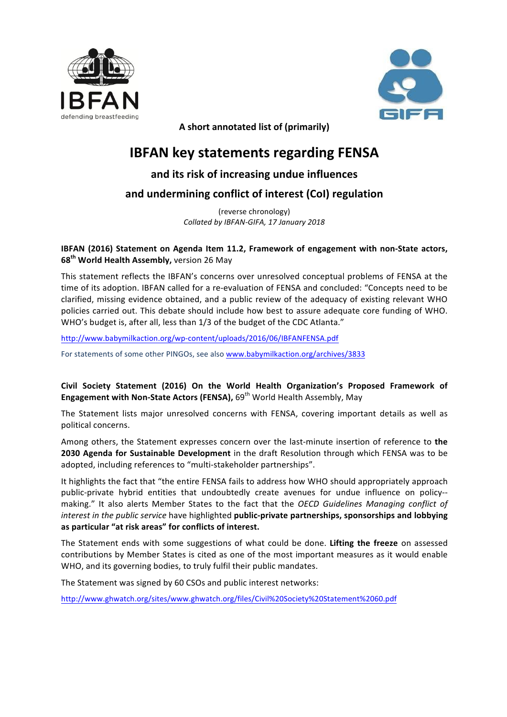



A short annotated list of (primarily)

# **IBFAN key statements regarding FENSA**

# and its risk of increasing undue influences

# and undermining conflict of interest (CoI) regulation

(reverse chronology) *Collated by IBFAN-GIFA, 17 January 2018*

# **IBFAN** (2016) Statement on Agenda Item 11.2, Framework of engagement with non-State actors, **68<sup>th</sup> World Health Assembly, version 26 May**

This statement reflects the IBFAN's concerns over unresolved conceptual problems of FENSA at the time of its adoption. IBFAN called for a re-evaluation of FENSA and concluded: "Concepts need to be clarified, missing evidence obtained, and a public review of the adequacy of existing relevant WHO policies carried out. This debate should include how best to assure adequate core funding of WHO. WHO's budget is, after all, less than 1/3 of the budget of the CDC Atlanta."

<http://www.babymilkaction.org/wp-content/uploads/2016/06/IBFANFENSA.pdf>

For statements of some other PINGOs, see also www.babymilkaction.org/archives/3833

# Civil Society Statement (2016) On the World Health Organization's Proposed Framework of **Engagement with Non-State Actors (FENSA), 69<sup>th</sup> World Health Assembly, May**

The Statement lists major unresolved concerns with FENSA, covering important details as well as political concerns.

Among others, the Statement expresses concern over the last-minute insertion of reference to the **2030 Agenda for Sustainable Development** in the draft Resolution through which FENSA was to be adopted, including references to "multi-stakeholder partnerships".

It highlights the fact that "the entire FENSA fails to address how WHO should appropriately approach public-private hybrid entities that undoubtedly create avenues for undue influence on policy-making." It also alerts Member States to the fact that the *OECD Guidelines Managing conflict of interest in the public service* have highlighted **public-private partnerships, sponsorships and lobbying** as particular "at risk areas" for conflicts of interest.

The Statement ends with some suggestions of what could be done. Lifting the freeze on assessed contributions by Member States is cited as one of the most important measures as it would enable WHO, and its governing bodies, to truly fulfil their public mandates.

The Statement was signed by 60 CSOs and public interest networks:

[http://www.ghwatch.org/sites/www.ghwatch.org/files/Civil%20Society%20Statement%2060.pdf](http://www.ghwatch.org/sites/www.ghwatch.org/files/Civil Society Statement 60.pdf)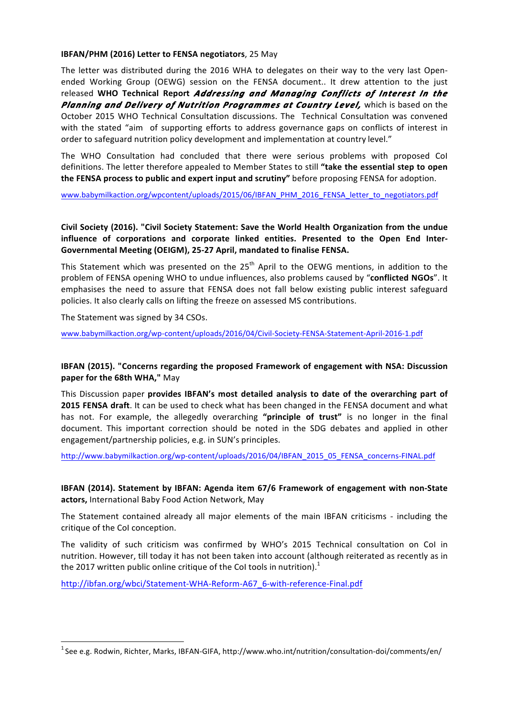#### **IBFAN/PHM** (2016) Letter to FENSA negotiators, 25 May

The letter was distributed during the 2016 WHA to delegates on their way to the very last Openended Working Group (OEWG) session on the FENSA document.. It drew attention to the just released WHO Technical Report *Addressing and Managing Conflicts of Interest In the* **Planning and Delivery of Nutrition Programmes at Country Level,** which is based on the October 2015 WHO Technical Consultation discussions. The Technical Consultation was convened with the stated "aim of supporting efforts to address governance gaps on conflicts of interest in order to safeguard nutrition policy development and implementation at country level."

The WHO Consultation had concluded that there were serious problems with proposed CoI definitions. The letter therefore appealed to Member States to still "take the essential step to open **the FENSA process to public and expert input and scrutiny"** before proposing FENSA for adoption.

[www.babymilkaction.org/wpcontent/uploads/2015/06/IBFAN\\_PHM\\_2016\\_FENSA\\_letter\\_to\\_negotiators.pdf](http://www.babymilkaction.org/wpcontent/uploads/2015/06/IBFAN_PHM_2016_FENSA_letter_to_negotiators.pdf)

## Civil Society (2016). "Civil Society Statement: Save the World Health Organization from the undue influence of corporations and corporate linked entities. Presented to the Open End Inter-Governmental Meeting (OEIGM), 25-27 April, mandated to finalise FENSA.

This Statement which was presented on the  $25<sup>th</sup>$  April to the OEWG mentions, in addition to the problem of FENSA opening WHO to undue influences, also problems caused by "conflicted NGOs". It emphasises the need to assure that FENSA does not fall below existing public interest safeguard policies. It also clearly calls on lifting the freeze on assessed MS contributions.

The Statement was signed by 34 CSOs.

[www.babymilkaction.org/wp-content/uploads/2016/04/Civil-Society-FENSA-Statement-April-2016-1.pdf](http://www.babymilkaction.org/wp-content/uploads/2016/04/Civil-Society-FENSA-Statement-April-2016-1.pdf)

## **IBFAN** (2015). "Concerns regarding the proposed Framework of engagement with NSA: Discussion **paper for the 68th WHA,"** May

This Discussion paper provides IBFAN's most detailed analysis to date of the overarching part of **2015 FENSA draft**. It can be used to check what has been changed in the FENSA document and what has not. For example, the allegedly overarching "principle of trust" is no longer in the final document. This important correction should be noted in the SDG debates and applied in other engagement/partnership policies, e.g. in SUN's principles.

[http://www.babymilkaction.org/wp-content/uploads/2016/04/IBFAN\\_2015\\_05\\_FENSA\\_concerns-FINAL.pdf](http://www.babymilkaction.org/wp-content/uploads/2016/04/IBFAN_2015_05_FENSA_concerns-FINAL.pdf)

## **IBFAN** (2014). Statement by IBFAN: Agenda item 67/6 Framework of engagement with non-State actors, International Baby Food Action Network, May

The Statement contained already all major elements of the main IBFAN criticisms - including the critique of the CoI conception.

The validity of such criticism was confirmed by WHO's 2015 Technical consultation on CoI in nutrition. However, till today it has not been taken into account (although reiterated as recently as in the 2017 written public online critique of the CoI tools in nutrition). $1$ 

[http://ibfan.org/wbci/Statement-WHA-Reform-A67\\_6-with-reference-Final.pdf](http://ibfan.org/wbci/Statement-WHA-Reform-A67_6-with-reference-Final.pdf)

 $1$ See e.g. Rodwin, Richter, Marks, IBFAN-GIFA, http://www.who.int/nutrition/consultation-doi/comments/en/